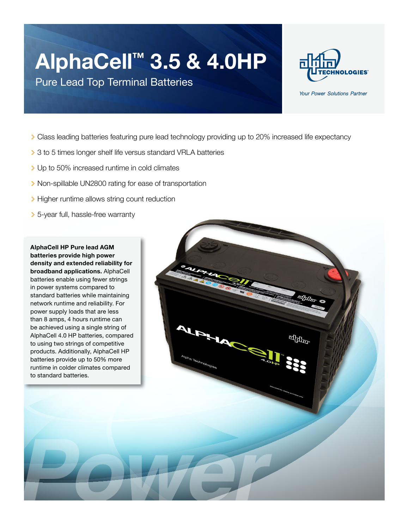## **AlphaCell™ 3.5 & 4.0HP**

Pure Lead Top Terminal Batteries



Your Power Solutions Partner

- > Class leading batteries featuring pure lead technology providing up to 20% increased life expectancy
- > 3 to 5 times longer shelf life versus standard VRLA batteries
- > Up to 50% increased runtime in cold climates
- > Non-spillable UN2800 rating for ease of transportation
- > Higher runtime allows string count reduction
- > 5-year full, hassle-free warranty

**AlphaCell HP Pure lead AGM batteries provide high power density and extended reliability for broadband applications.** AlphaCell batteries enable using fewer strings in power systems compared to standard batteries while maintaining network runtime and reliability. For power supply loads that are less than 8 amps, 4 hours runtime can be achieved using a single string of AlphaCell 4.0 HP batteries, compared to using two strings of competitive products. Additionally, AlphaCell HP batteries provide up to 50% more runtime in colder climates compared to standard batteries.